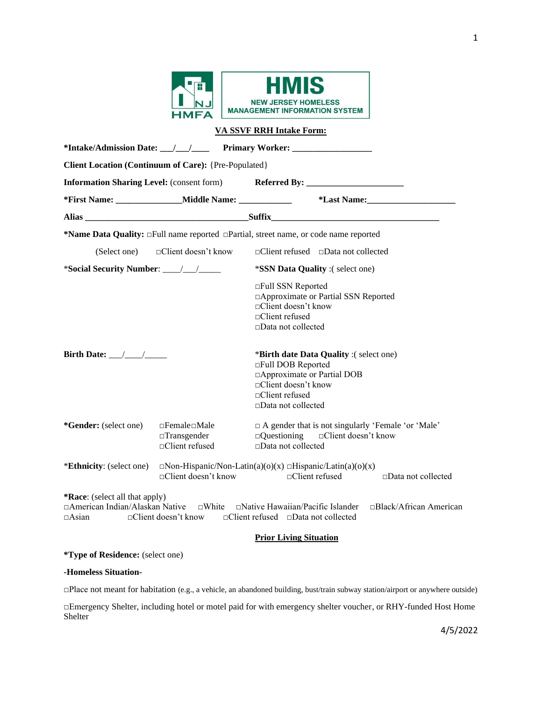

|                                                       |                                                                          | <b>VA SSVF RRH Intake Form:</b>                                                                                                                                               |  |  |  |  |  |  |  |
|-------------------------------------------------------|--------------------------------------------------------------------------|-------------------------------------------------------------------------------------------------------------------------------------------------------------------------------|--|--|--|--|--|--|--|
|                                                       |                                                                          |                                                                                                                                                                               |  |  |  |  |  |  |  |
| Client Location (Continuum of Care): {Pre-Populated}  |                                                                          |                                                                                                                                                                               |  |  |  |  |  |  |  |
|                                                       |                                                                          | Information Sharing Level: (consent form) Referred By: __________________________                                                                                             |  |  |  |  |  |  |  |
|                                                       | *First Name: __________________Middle Name: ________________             | *Last Name: Manual Manual Manual Manual Manual Manual Manual Manual Manual Manual Manual Manual Manual Manual Ma                                                              |  |  |  |  |  |  |  |
|                                                       |                                                                          |                                                                                                                                                                               |  |  |  |  |  |  |  |
|                                                       |                                                                          | *Name Data Quality: $\Box$ Full name reported $\Box$ Partial, street name, or code name reported                                                                              |  |  |  |  |  |  |  |
|                                                       | (Select one) □ □ ○ ○ □ ○ ochient doesn't know                            | $\Box$ Client refused $\Box$ Data not collected                                                                                                                               |  |  |  |  |  |  |  |
|                                                       |                                                                          | *SSN Data Quality :(select one)                                                                                                                                               |  |  |  |  |  |  |  |
|                                                       |                                                                          | □Full SSN Reported<br>□ Approximate or Partial SSN Reported<br>□Client doesn't know<br>□Client refused<br>$\square$ Data not collected                                        |  |  |  |  |  |  |  |
| Birth Date: $\_\_\_\_\_\_\_\_\_\$                     |                                                                          | *Birth date Data Quality :(select one)<br>□Full DOB Reported<br>□ Approximate or Partial DOB<br>□Client doesn't know<br>$\Box$ Client refused<br>$\square$ Data not collected |  |  |  |  |  |  |  |
| *Gender: (select one)                                 | $\Box$ Female $\Box$ Male<br>$\Box$ Transgender<br>$\Box$ Client refused | $\Box$ A gender that is not singularly 'Female 'or 'Male'<br>$\Box$ Questioning<br>□Client doesn't know<br>□Data not collected                                                |  |  |  |  |  |  |  |
| <i>*Ethnicity:</i> (select one)                       | $\Box$ Client doesn't know                                               | $\Box$ Non-Hispanic/Non-Latin(a)(o)(x) $\Box$ Hispanic/Latin(a)(o)(x)<br>$\Box$ Client refused<br>$\Box$ Data not collected                                                   |  |  |  |  |  |  |  |
| <b>*Race:</b> (select all that apply)<br>$\Box$ Asian | $\Box$ Client doesn't know                                               | □American Indian/Alaskan Native □White □Native Hawaiian/Pacific Islander □Black/African American<br>□Client refused □Data not collected                                       |  |  |  |  |  |  |  |
|                                                       |                                                                          | <b>Prior Living Situation</b>                                                                                                                                                 |  |  |  |  |  |  |  |

**\*Type of Residence:** (select one)

### **-Homeless Situation-**

□Place not meant for habitation (e.g., a vehicle, an abandoned building, bust/train subway station/airport or anywhere outside)

□Emergency Shelter, including hotel or motel paid for with emergency shelter voucher, or RHY-funded Host Home Shelter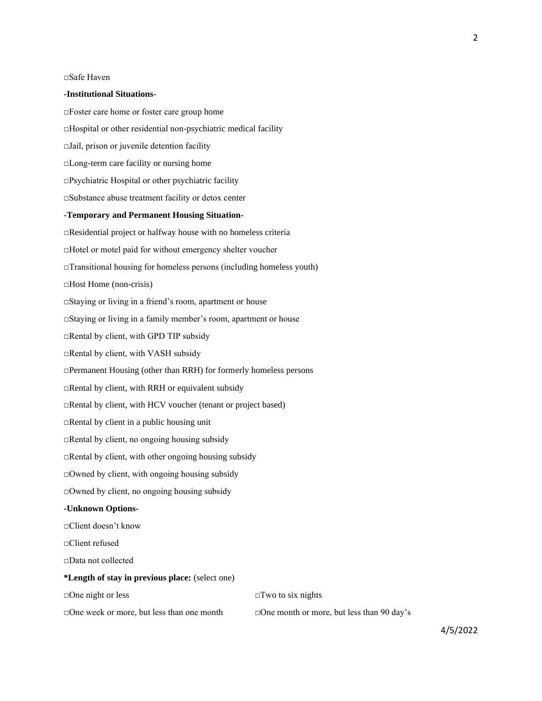□Safe Haven

#### **-Institutional Situations-**

□Foster care home or foster care group home □Hospital or other residential non-psychiatric medical facility □Jail, prison or juvenile detention facility □Long-term care facility or nursing home □Psychiatric Hospital or other psychiatric facility □Substance abuse treatment facility or detox center **-Temporary and Permanent Housing Situation-** □Residential project or halfway house with no homeless criteria □Hotel or motel paid for without emergency shelter voucher  $\Box$ Transitional housing for homeless persons (including homeless youth) □Host Home (non-crisis) □Staying or living in a friend's room, apartment or house □Staying or living in a family member's room, apartment or house □Rental by client, with GPD TIP subsidy □Rental by client, with VASH subsidy □Permanent Housing (other than RRH) for formerly homeless persons □Rental by client, with RRH or equivalent subsidy □Rental by client, with HCV voucher (tenant or project based) □Rental by client in a public housing unit  $\Box$ Rental by client, no ongoing housing subsidy  $\Box$ Rental by client, with other ongoing housing subsidy  $\Box$ Owned by client, with ongoing housing subsidy □Owned by client, no ongoing housing subsidy **-Unknown Options-** □Client doesn't know □Client refused □Data not collected **\*Length of stay in previous place:** (select one) □One night or less □Two to six nights □One week or more, but less than one month □One month or more, but less than 90 day's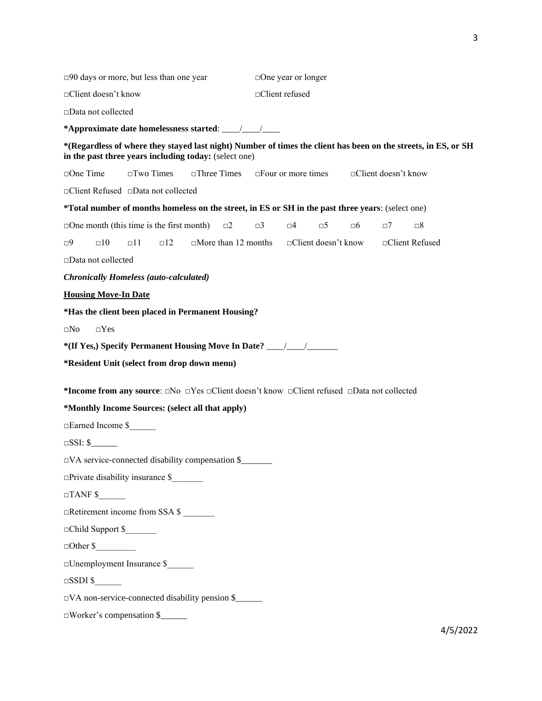| $\square$ 90 days or more, but less than one year |                                                        |                                                                                                                                         | $\Box$ One year or longer |                            |          |                      |                                                                                                                |
|---------------------------------------------------|--------------------------------------------------------|-----------------------------------------------------------------------------------------------------------------------------------------|---------------------------|----------------------------|----------|----------------------|----------------------------------------------------------------------------------------------------------------|
| □Client doesn't know                              |                                                        | □Client refused                                                                                                                         |                           |                            |          |                      |                                                                                                                |
| □Data not collected                               |                                                        |                                                                                                                                         |                           |                            |          |                      |                                                                                                                |
|                                                   |                                                        |                                                                                                                                         |                           |                            |          |                      |                                                                                                                |
|                                                   |                                                        | in the past three years including today: (select one)                                                                                   |                           |                            |          |                      | *(Regardless of where they stayed last night) Number of times the client has been on the streets, in ES, or SH |
| $\square$ One Time                                | $\square$ Two Times                                    | $\square$ Three Times                                                                                                                   |                           | $\Box$ Four or more times  |          | □Client doesn't know |                                                                                                                |
|                                                   | □Client Refused □Data not collected                    |                                                                                                                                         |                           |                            |          |                      |                                                                                                                |
|                                                   |                                                        | *Total number of months homeless on the street, in ES or SH in the past three years: (select one)                                       |                           |                            |          |                      |                                                                                                                |
|                                                   | $\Box$ One month (this time is the first month)        | $\square$ 2                                                                                                                             | $\Box$ 3                  | $\square 4$<br>$\square 5$ | $\Box 6$ | $\Box$ 7             | $\square 8$                                                                                                    |
| $\square$ 10<br>⊡9                                | $\Box$ 11<br>$\square$ 12                              | $\Box$ More than 12 months                                                                                                              |                           | $\Box$ Client doesn't know |          |                      | □Client Refused                                                                                                |
| □Data not collected                               |                                                        |                                                                                                                                         |                           |                            |          |                      |                                                                                                                |
|                                                   | <b>Chronically Homeless (auto-calculated)</b>          |                                                                                                                                         |                           |                            |          |                      |                                                                                                                |
| <b>Housing Move-In Date</b>                       |                                                        |                                                                                                                                         |                           |                            |          |                      |                                                                                                                |
|                                                   |                                                        | *Has the client been placed in Permanent Housing?                                                                                       |                           |                            |          |                      |                                                                                                                |
| $\square$ Yes<br>$\square$ No                     |                                                        |                                                                                                                                         |                           |                            |          |                      |                                                                                                                |
|                                                   |                                                        | *(If Yes.) Specify Permanent Housing Move In Date? ______________________________                                                       |                           |                            |          |                      |                                                                                                                |
|                                                   | *Resident Unit (select from drop down menu)            |                                                                                                                                         |                           |                            |          |                      |                                                                                                                |
|                                                   |                                                        | *Income from any source: $\square$ No $\square$ Yes $\square$ Client doesn't know $\square$ Client refused $\square$ Data not collected |                           |                            |          |                      |                                                                                                                |
|                                                   | *Monthly Income Sources: (select all that apply)       |                                                                                                                                         |                           |                            |          |                      |                                                                                                                |
| □Earned Income \$                                 |                                                        |                                                                                                                                         |                           |                            |          |                      |                                                                                                                |
|                                                   |                                                        |                                                                                                                                         |                           |                            |          |                      |                                                                                                                |
|                                                   | $\Box VA$ service-connected disability compensation \$ |                                                                                                                                         |                           |                            |          |                      |                                                                                                                |
|                                                   | $\Box$ Private disability insurance \$                 |                                                                                                                                         |                           |                            |          |                      |                                                                                                                |
| $\Box$ TANF \$                                    |                                                        |                                                                                                                                         |                           |                            |          |                      |                                                                                                                |
|                                                   | □Retirement income from SSA \$                         |                                                                                                                                         |                           |                            |          |                      |                                                                                                                |
| Child Support \$                                  |                                                        |                                                                                                                                         |                           |                            |          |                      |                                                                                                                |
| $\Box$ Other \$                                   |                                                        |                                                                                                                                         |                           |                            |          |                      |                                                                                                                |
|                                                   | □Unemployment Insurance \$                             |                                                                                                                                         |                           |                            |          |                      |                                                                                                                |
| $\square$ SSDI \$                                 |                                                        |                                                                                                                                         |                           |                            |          |                      |                                                                                                                |
|                                                   |                                                        | $\Box$ VA non-service-connected disability pension \$                                                                                   |                           |                            |          |                      |                                                                                                                |
|                                                   | $\Box$ Worker's compensation \$                        |                                                                                                                                         |                           |                            |          |                      |                                                                                                                |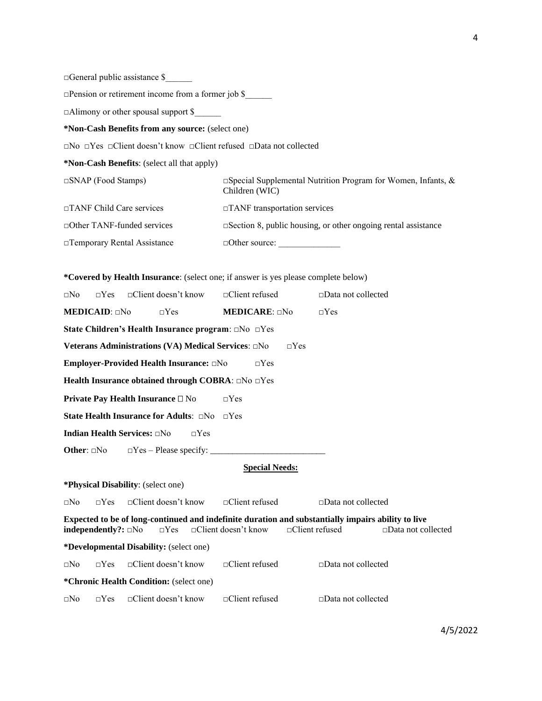□General public assistance \$\_\_\_\_\_\_

□Pension or retirement income from a former job \$\_\_\_\_\_\_

□Alimony or other spousal support \$

**\*Non-Cash Benefits from any source:** (select one)

□No □Yes □Client doesn't know □Client refused □Data not collected

**\*Non-Cash Benefits**: (select all that apply)

□SNAP (Food Stamps) □Special Supplemental Nutrition Program for Women, Infants, & Children (WIC) □TANF Child Care services □TANF transportation services □Other TANF-funded services □Section 8, public housing, or other ongoing rental assistance □Temporary Rental Assistance □Other source: \_\_\_\_\_\_\_\_\_\_\_\_\_\_

**\*Covered by Health Insurance**: (select one; if answer is yes please complete below)

| $\Box$ No               | $\neg Yes$                   | $\Box$ Client doesn't know                                                                                       | □Client refused            |                       | $\square$ Data not collected |                           |
|-------------------------|------------------------------|------------------------------------------------------------------------------------------------------------------|----------------------------|-----------------------|------------------------------|---------------------------|
|                         | <b>MEDICAID</b> : $\Box$ No  | $\Box$ Yes                                                                                                       | <b>MEDICARE:</b> $\Box$ No |                       | $\Box$ Yes                   |                           |
|                         |                              | State Children's Health Insurance program: □No □Yes                                                              |                            |                       |                              |                           |
|                         |                              | Veterans Administrations (VA) Medical Services: □No                                                              |                            | $\neg$ Yes            |                              |                           |
|                         |                              | Employer-Provided Health Insurance: DNo                                                                          | $\neg Yes$                 |                       |                              |                           |
|                         |                              | Health Insurance obtained through COBRA: $\Box$ No $\Box$ Yes                                                    |                            |                       |                              |                           |
|                         |                              | <b>Private Pay Health Insurance</b> □ No                                                                         | $\Box$ Yes                 |                       |                              |                           |
|                         |                              | <b>State Health Insurance for Adults:</b> $\Box$ No $\Box$ Yes                                                   |                            |                       |                              |                           |
|                         |                              | <b>Indian Health Services:</b> □No<br>$\neg$ Yes                                                                 |                            |                       |                              |                           |
| <b>Other:</b> $\Box$ No |                              |                                                                                                                  |                            |                       |                              |                           |
|                         |                              |                                                                                                                  | <b>Special Needs:</b>      |                       |                              |                           |
|                         |                              | <b>*Physical Disability:</b> (select one)                                                                        |                            |                       |                              |                           |
| $\Box$ No               | $\neg Yes$                   | $\Box$ Client doesn't know                                                                                       | $\Box$ Client refused      |                       | $\Box$ Data not collected    |                           |
|                         | independently?: $\square$ No | Expected to be of long-continued and indefinite duration and substantially impairs ability to live<br>$\Box$ Yes | $\Box$ Client doesn't know | $\Box$ Client refused |                              | $\Box$ Data not collected |
|                         |                              | <i>*Developmental Disability:</i> (select one)                                                                   |                            |                       |                              |                           |
| $\Box$ No               | $\neg Yes$                   | $\Box$ Client doesn't know                                                                                       | $\Box$ Client refused      |                       | $\square$ Data not collected |                           |
|                         |                              | <i>*Chronic Health Condition: (select one)</i>                                                                   |                            |                       |                              |                           |
| $\square$ No            | $\neg Yes$                   | $\Box$ Client doesn't know                                                                                       | $\Box$ Client refused      |                       | □Data not collected          |                           |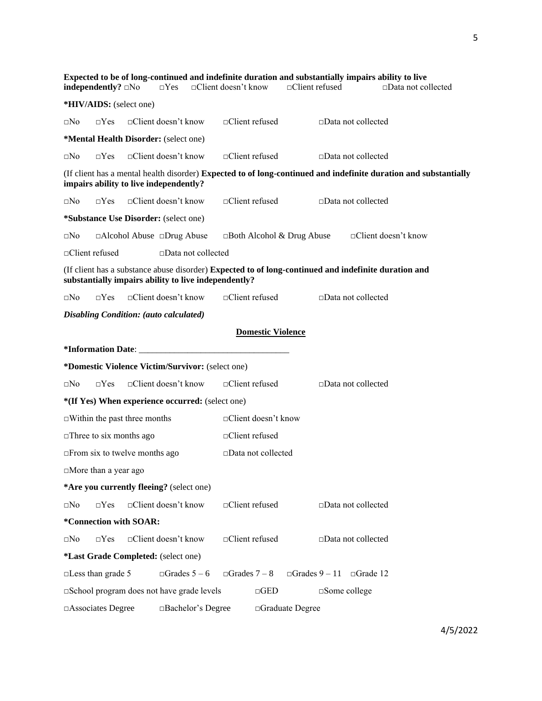|                                                                                                                                                              | independently? $\square$ No |                                                         | $\Box$ Yes                 |                           | $\Box$ Client doesn't know |                              | $\Box$ Client refused            |               | Expected to be of long-continued and indefinite duration and substantially impairs ability to live | $\Box$ Data not collected |
|--------------------------------------------------------------------------------------------------------------------------------------------------------------|-----------------------------|---------------------------------------------------------|----------------------------|---------------------------|----------------------------|------------------------------|----------------------------------|---------------|----------------------------------------------------------------------------------------------------|---------------------------|
|                                                                                                                                                              |                             | *HIV/AIDS: (select one)                                 |                            |                           |                            |                              |                                  |               |                                                                                                    |                           |
| $\square$ No                                                                                                                                                 | $\Box$ Yes                  |                                                         | □Client doesn't know       |                           | □Client refused            |                              |                                  |               | $\square$ Data not collected                                                                       |                           |
|                                                                                                                                                              |                             | *Mental Health Disorder: (select one)                   |                            |                           |                            |                              |                                  |               |                                                                                                    |                           |
|                                                                                                                                                              |                             |                                                         |                            |                           |                            |                              |                                  |               |                                                                                                    |                           |
| $\square$ No                                                                                                                                                 | $\Box$ Yes                  |                                                         | $\Box$ Client doesn't know |                           | □Client refused            |                              |                                  |               | $\square$ Data not collected                                                                       |                           |
| (If client has a mental health disorder) Expected to of long-continued and indefinite duration and substantially<br>impairs ability to live independently?   |                             |                                                         |                            |                           |                            |                              |                                  |               |                                                                                                    |                           |
| $\square$ No                                                                                                                                                 | $\neg Yes$                  |                                                         | $\Box$ Client doesn't know |                           | $\Box$ Client refused      |                              |                                  |               | $\Box$ Data not collected                                                                          |                           |
|                                                                                                                                                              |                             | <i>*Substance Use Disorder: (select one)</i>            |                            |                           |                            |                              |                                  |               |                                                                                                    |                           |
| $\square$ No                                                                                                                                                 |                             | □Alcohol Abuse □Drug Abuse                              |                            |                           |                            |                              | $\Box$ Both Alcohol & Drug Abuse |               | $\Box$ Client doesn't know                                                                         |                           |
|                                                                                                                                                              | □Client refused             |                                                         |                            | $\Box$ Data not collected |                            |                              |                                  |               |                                                                                                    |                           |
| (If client has a substance abuse disorder) Expected to of long-continued and indefinite duration and<br>substantially impairs ability to live independently? |                             |                                                         |                            |                           |                            |                              |                                  |               |                                                                                                    |                           |
| $\square$ No                                                                                                                                                 | $\neg Yes$                  |                                                         | $\Box$ Client doesn't know |                           | $\Box$ Client refused      |                              |                                  |               | $\square$ Data not collected                                                                       |                           |
|                                                                                                                                                              |                             | Disabling Condition: (auto calculated)                  |                            |                           |                            |                              |                                  |               |                                                                                                    |                           |
|                                                                                                                                                              |                             |                                                         |                            |                           |                            | <b>Domestic Violence</b>     |                                  |               |                                                                                                    |                           |
|                                                                                                                                                              |                             |                                                         |                            |                           |                            |                              |                                  |               |                                                                                                    |                           |
|                                                                                                                                                              |                             | <i>*Domestic Violence Victim/Survivor:</i> (select one) |                            |                           |                            |                              |                                  |               |                                                                                                    |                           |
| ⊡No                                                                                                                                                          | $\Box$ Yes                  |                                                         | □Client doesn't know       |                           | □Client refused            |                              |                                  |               | $\square$ Data not collected                                                                       |                           |
|                                                                                                                                                              |                             | *(If Yes) When experience occurred: (select one)        |                            |                           |                            |                              |                                  |               |                                                                                                    |                           |
|                                                                                                                                                              |                             | $\Box$ Within the past three months                     |                            |                           |                            | □Client doesn't know         |                                  |               |                                                                                                    |                           |
|                                                                                                                                                              |                             | $\square$ Three to six months ago                       |                            |                           | □Client refused            |                              |                                  |               |                                                                                                    |                           |
|                                                                                                                                                              |                             | $\Box$ From six to twelve months ago                    |                            |                           |                            | $\square$ Data not collected |                                  |               |                                                                                                    |                           |
|                                                                                                                                                              | □More than a year ago       |                                                         |                            |                           |                            |                              |                                  |               |                                                                                                    |                           |
|                                                                                                                                                              |                             | *Are you currently fleeing? (select one)                |                            |                           |                            |                              |                                  |               |                                                                                                    |                           |
| $\square$ No                                                                                                                                                 | $\Box$ Yes                  |                                                         | □Client doesn't know       |                           | □Client refused            |                              |                                  |               | □Data not collected                                                                                |                           |
|                                                                                                                                                              |                             | *Connection with SOAR:                                  |                            |                           |                            |                              |                                  |               |                                                                                                    |                           |
| $\square$ No                                                                                                                                                 | $\Box$ Yes                  |                                                         | □Client doesn't know       |                           | □Client refused            |                              |                                  |               | □Data not collected                                                                                |                           |
|                                                                                                                                                              |                             | *Last Grade Completed: (select one)                     |                            |                           |                            |                              |                                  |               |                                                                                                    |                           |
|                                                                                                                                                              | $\Box$ Less than grade 5    |                                                         | $\Box$ Grades 5 – 6        |                           | $\Box$ Grades 7 – 8        |                              |                                  |               | $\Box$ Grades 9 - 11 $\Box$ Grade 12                                                               |                           |
|                                                                                                                                                              |                             | School program does not have grade levels               |                            |                           |                            | $\Box\text{GED}$             |                                  | □Some college |                                                                                                    |                           |
|                                                                                                                                                              | Associates Degree           |                                                         |                            | □Bachelor's Degree        |                            |                              | □Graduate Degree                 |               |                                                                                                    |                           |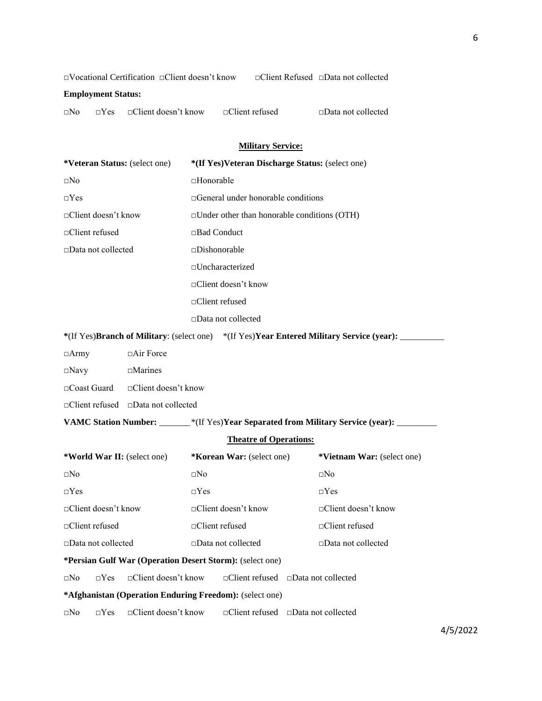□Vocational Certification □Client doesn't know □Client Refused □Data not collected

## **Employment Status:**

| $\Box$ Client refused<br>$\Box$ Data not collected<br>$\Box$ Client doesn't know<br>$\Box$ No<br>$\neg$ Y es |  |
|--------------------------------------------------------------------------------------------------------------|--|
|                                                                                                              |  |

# **Military Service:**

| *Veteran Status: (select one) |                                                          |                              | *(If Yes)Veteran Discharge Status: (select one) |  |                                                                                                  |  |  |  |  |
|-------------------------------|----------------------------------------------------------|------------------------------|-------------------------------------------------|--|--------------------------------------------------------------------------------------------------|--|--|--|--|
| $\square$ No                  |                                                          | □Honorable                   |                                                 |  |                                                                                                  |  |  |  |  |
| $\neg Yes$                    |                                                          |                              | $\Box$ General under honorable conditions       |  |                                                                                                  |  |  |  |  |
| $\Box$ Client doesn't know    |                                                          |                              | □Under other than honorable conditions (OTH)    |  |                                                                                                  |  |  |  |  |
| □Client refused               |                                                          | □Bad Conduct                 |                                                 |  |                                                                                                  |  |  |  |  |
| □Data not collected           |                                                          | □Dishonorable                |                                                 |  |                                                                                                  |  |  |  |  |
|                               |                                                          |                              | □Uncharacterized                                |  |                                                                                                  |  |  |  |  |
|                               |                                                          |                              | □Client doesn't know                            |  |                                                                                                  |  |  |  |  |
|                               |                                                          | □Client refused              |                                                 |  |                                                                                                  |  |  |  |  |
|                               |                                                          |                              | □Data not collected                             |  |                                                                                                  |  |  |  |  |
|                               |                                                          |                              |                                                 |  | *(If Yes)Branch of Military: (select one) *(If Yes)Year Entered Military Service (year): _______ |  |  |  |  |
| $\Box$ Army                   | $\Box$ Air Force                                         |                              |                                                 |  |                                                                                                  |  |  |  |  |
| $\square$ Navy                | $\square$ Marines                                        |                              |                                                 |  |                                                                                                  |  |  |  |  |
| $\Box$ Coast Guard            | $\Box$ Client doesn't know                               |                              |                                                 |  |                                                                                                  |  |  |  |  |
|                               | $\Box$ Client refused $\Box$ Data not collected          |                              |                                                 |  |                                                                                                  |  |  |  |  |
|                               |                                                          |                              |                                                 |  | VAMC Station Number: ______*(If Yes)Year Separated from Military Service (year): ______          |  |  |  |  |
|                               |                                                          |                              | <b>Theatre of Operations:</b>                   |  |                                                                                                  |  |  |  |  |
| *World War II: (select one)   |                                                          |                              | *Korean War: (select one)                       |  | *Vietnam War: (select one)                                                                       |  |  |  |  |
| $\square$ No                  |                                                          | $\square$ No                 |                                                 |  | $\square$ No                                                                                     |  |  |  |  |
| $\Box$ Yes                    |                                                          | $\Box$ Yes                   |                                                 |  | $\Box$ Yes                                                                                       |  |  |  |  |
| $\Box$ Client doesn't know    |                                                          |                              | $\Box$ Client doesn't know                      |  | $\Box$ Client doesn't know                                                                       |  |  |  |  |
| □Client refused               |                                                          | $\Box$ Client refused        |                                                 |  | $\Box$ Client refused                                                                            |  |  |  |  |
| □Data not collected           |                                                          | $\square$ Data not collected |                                                 |  | □Data not collected                                                                              |  |  |  |  |
|                               | *Persian Gulf War (Operation Desert Storm): (select one) |                              |                                                 |  |                                                                                                  |  |  |  |  |
| $\Box$ Yes<br>$\square$ No    | □Client doesn't know                                     |                              | □Client refused □Data not collected             |  |                                                                                                  |  |  |  |  |
|                               | *Afghanistan (Operation Enduring Freedom): (select one)  |                              |                                                 |  |                                                                                                  |  |  |  |  |
| $\Box$ Yes<br>$\square$ No    | $\Box$ Client doesn't know                               |                              | $\Box$ Client refused $\Box$ Data not collected |  |                                                                                                  |  |  |  |  |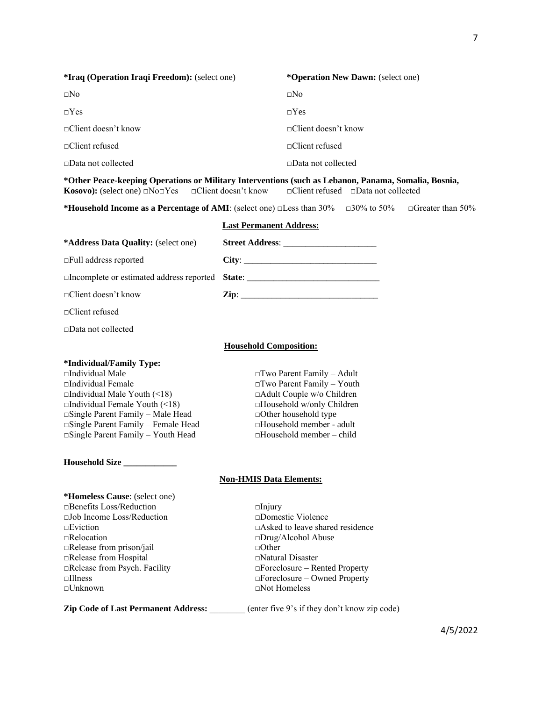| <i>*Iraq (Operation Iraqi Freedom): (select one)</i>                                                                                                                                                                                 | *Operation New Dawn: (select one) |
|--------------------------------------------------------------------------------------------------------------------------------------------------------------------------------------------------------------------------------------|-----------------------------------|
| $\Box$ No                                                                                                                                                                                                                            | $\square$ No                      |
| $\neg Yes$                                                                                                                                                                                                                           | $\neg$ Yes                        |
| $\Box$ Client doesn't know                                                                                                                                                                                                           | $\Box$ Client doesn't know        |
| $\Box$ Client refused                                                                                                                                                                                                                | $\Box$ Client refused             |
| $\Box$ Data not collected                                                                                                                                                                                                            | $\Box$ Data not collected         |
| *Other Peace-keeping Operations or Military Interventions (such as Lebanon, Panama, Somalia, Bosnia,<br><b>Kosovo):</b> (select one) $\Box$ No $\Box$ Yes $\Box$ Client doesn't know $\Box$ Client refused $\Box$ Data not collected |                                   |
|                                                                                                                                                                                                                                      |                                   |

**\*Household Income as a Percentage of AMI**: (select one) □Less than 30% □30% to 50% □Greater than 50%

# **Last Permanent Address: \*Address Data Quality:** (select one) **Street Address**: \_\_\_\_\_\_\_\_\_\_\_\_\_\_\_\_\_\_\_\_\_ □Full address reported **City**: \_\_\_\_\_\_\_\_\_\_\_\_\_\_\_\_\_\_\_\_\_\_\_\_\_\_\_\_\_\_ □Incomplete or estimated address reported **State**: \_\_\_\_\_\_\_\_\_\_\_\_\_\_\_\_\_\_\_\_\_\_\_\_\_\_\_\_\_\_ □Client doesn't know **Zip**: \_\_\_\_\_\_\_\_\_\_\_\_\_\_\_\_\_\_\_\_\_\_\_\_\_\_\_\_\_\_\_ □Client refused □Data not collected **Household Composition: \*Individual/Family Type:**  □Individual Male □Two Parent Family – Adult □Individual Female □Two Parent Family – Youth  $\Box$ Individual Male Youth (<18) □Individual Female Youth (<18) □Household w/only Children **□Single Parent Family – Male Head** □Other household type<br>□Single Parent Family – Female Head □Household member - adult □Single Parent Family – Female Head □Single Parent Family – Youth Head □Household member – child **Household Size \_\_\_\_\_\_\_\_\_\_\_\_ Non-HMIS Data Elements: \*Homeless Cause**: (select one) □Benefits Loss/Reduction □Injury □Job Income Loss/Reduction □Domestic Violence □Eviction □Asked to leave shared residence □Relocation □Drug/Alcohol Abuse □Release from prison/jail □Other □Release from Hospital □Natural Disaster □Release from Psych. Facility □Foreclosure – Rented Property □Illness □Foreclosure – Owned Property □Unknown □Not Homeless **Zip Code of Last Permanent Address:** \_\_\_\_\_\_\_\_ (enter five 9's if they don't know zip code)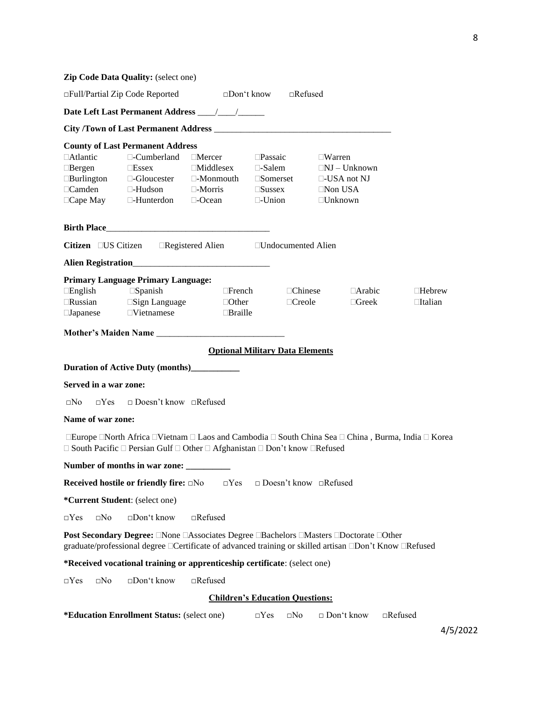|                                                                                           | Zip Code Data Quality: (select one)                                                                                                                                                             |                                                                                          |                                                                                               |                |                                                                                                |               |                |
|-------------------------------------------------------------------------------------------|-------------------------------------------------------------------------------------------------------------------------------------------------------------------------------------------------|------------------------------------------------------------------------------------------|-----------------------------------------------------------------------------------------------|----------------|------------------------------------------------------------------------------------------------|---------------|----------------|
|                                                                                           | □Full/Partial Zip Code Reported                                                                                                                                                                 |                                                                                          | $\square$ Don't know                                                                          | $\Box$ Refused |                                                                                                |               |                |
|                                                                                           |                                                                                                                                                                                                 |                                                                                          |                                                                                               |                |                                                                                                |               |                |
|                                                                                           |                                                                                                                                                                                                 |                                                                                          |                                                                                               |                |                                                                                                |               |                |
|                                                                                           | <b>County of Last Permanent Address</b>                                                                                                                                                         |                                                                                          |                                                                                               |                |                                                                                                |               |                |
| <b>Atlantic</b><br>$\Box$ Bergen<br>$\Box$ Burlington<br>$\Box$ Camden<br>$\Box$ Cape May | $\Box$ -Cumberland<br>$\square$ Essex<br>$\Box$ -Gloucester<br>$\Box$ -Hudson<br>$\Box$ -Hunterdon                                                                                              | $\Box$ Mercer<br>$\Box$ Middlesex<br>$\Box$ -Monmouth<br>$\Box$ -Morris<br>$\Box$ -Ocean | $\square$ Passaic<br>$\Box$ -Salem<br>$\square$ Somerset<br>$\square$ Sussex<br>$\Box$ -Union |                | $\Box$ Warren<br>$\Box$ NJ – Unknown<br>$\Box$ -USA not NJ<br>$\Box$ Non USA<br>$\Box$ Unknown |               |                |
|                                                                                           |                                                                                                                                                                                                 |                                                                                          |                                                                                               |                |                                                                                                |               |                |
|                                                                                           | Citizen □ US Citizen □ Registered Alien □ Undocumented Alien                                                                                                                                    |                                                                                          |                                                                                               |                |                                                                                                |               |                |
|                                                                                           |                                                                                                                                                                                                 |                                                                                          |                                                                                               |                |                                                                                                |               |                |
|                                                                                           | <b>Primary Language Primary Language:</b>                                                                                                                                                       |                                                                                          |                                                                                               |                |                                                                                                |               |                |
| $\Box$ English                                                                            | $\square$ Spanish                                                                                                                                                                               | $\Box$ French                                                                            |                                                                                               | $\Box$ Chinese |                                                                                                | $\Box$ Arabic | $\Box$ Hebrew  |
| $\Box$ Russian                                                                            | $\square$ Sign Language                                                                                                                                                                         | $\Box$ Other                                                                             |                                                                                               | $\Box$ Creole  |                                                                                                | $\Box$ Greek  | □Italian       |
| $\square$ Japanese                                                                        | $\Box$ Vietnamese                                                                                                                                                                               | <b>Braille</b>                                                                           |                                                                                               |                |                                                                                                |               |                |
|                                                                                           |                                                                                                                                                                                                 |                                                                                          |                                                                                               |                |                                                                                                |               |                |
|                                                                                           |                                                                                                                                                                                                 | <b>Optional Military Data Elements</b>                                                   |                                                                                               |                |                                                                                                |               |                |
|                                                                                           | Duration of Active Duty (months)___________                                                                                                                                                     |                                                                                          |                                                                                               |                |                                                                                                |               |                |
| Served in a war zone:                                                                     |                                                                                                                                                                                                 |                                                                                          |                                                                                               |                |                                                                                                |               |                |
| $\square$ No<br>$\Box$ Yes                                                                | Doesn't know Refused                                                                                                                                                                            |                                                                                          |                                                                                               |                |                                                                                                |               |                |
| Name of war zone:                                                                         |                                                                                                                                                                                                 |                                                                                          |                                                                                               |                |                                                                                                |               |                |
|                                                                                           | □Europe □North Africa □Vietnam □ Laos and Cambodia □ South China Sea □ China, Burma, India □ Korea                                                                                              |                                                                                          |                                                                                               |                |                                                                                                |               |                |
|                                                                                           | $\Box$ South Pacific $\Box$ Persian Gulf $\Box$ Other $\Box$ Afghanistan $\Box$ Don't know $\Box$ Refused                                                                                       |                                                                                          |                                                                                               |                |                                                                                                |               |                |
|                                                                                           | Number of months in war zone:                                                                                                                                                                   |                                                                                          |                                                                                               |                |                                                                                                |               |                |
|                                                                                           | <b>Received hostile or friendly fire:</b> □No                                                                                                                                                   | $\Box$ Yes                                                                               |                                                                                               |                | $\Box$ Doesn't know $\Box$ Refused                                                             |               |                |
| *Current Student: (select one)                                                            |                                                                                                                                                                                                 |                                                                                          |                                                                                               |                |                                                                                                |               |                |
| $\Box Yes$<br>$\square$ No                                                                | $\Box$ Don't know                                                                                                                                                                               | $\Box$ Refused                                                                           |                                                                                               |                |                                                                                                |               |                |
|                                                                                           | Post Secondary Degree: □None □Associates Degree □Bachelors □Masters □Doctorate □Other<br>graduate/professional degree □Certificate of advanced training or skilled artisan □Don't Know □Refused |                                                                                          |                                                                                               |                |                                                                                                |               |                |
|                                                                                           | *Received vocational training or apprenticeship certificate: (select one)                                                                                                                       |                                                                                          |                                                                                               |                |                                                                                                |               |                |
| $\square$ No<br>$\Box$ Yes                                                                | □Don't know                                                                                                                                                                                     | $\Box$ Refused                                                                           |                                                                                               |                |                                                                                                |               |                |
|                                                                                           |                                                                                                                                                                                                 | <b>Children's Education Questions:</b>                                                   |                                                                                               |                |                                                                                                |               |                |
|                                                                                           | *Education Enrollment Status: (select one)                                                                                                                                                      |                                                                                          | $\Box$ Yes                                                                                    | $\square$ No   | $\Box$ Don't know                                                                              |               | $\Box$ Refused |
|                                                                                           |                                                                                                                                                                                                 |                                                                                          |                                                                                               |                |                                                                                                |               | 4/5/2022       |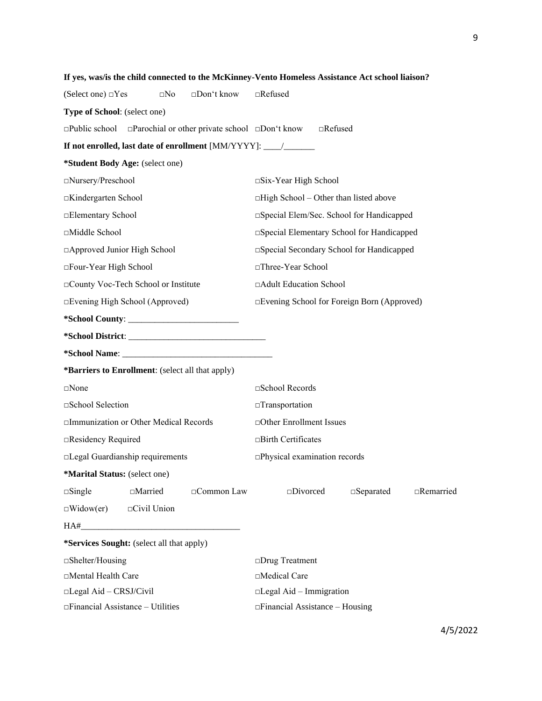|                                         |                                                  |                                                                                 | If yes, was/is the child connected to the McKinney-Vento Homeless Assistance Act school liaison? |  |  |  |  |  |
|-----------------------------------------|--------------------------------------------------|---------------------------------------------------------------------------------|--------------------------------------------------------------------------------------------------|--|--|--|--|--|
| (Select one) $\Box$ Yes                 | $\square$ No                                     | □Don't know                                                                     | $\Box$ Refused                                                                                   |  |  |  |  |  |
| Type of School: (select one)            |                                                  |                                                                                 |                                                                                                  |  |  |  |  |  |
|                                         |                                                  | $\Box$ Public school $\Box$ Parochial or other private school $\Box$ Don't know | $\Box$ Refused                                                                                   |  |  |  |  |  |
|                                         |                                                  |                                                                                 | If not enrolled, last date of enrollment [MM/YYYY]: _____________________________                |  |  |  |  |  |
| *Student Body Age: (select one)         |                                                  |                                                                                 |                                                                                                  |  |  |  |  |  |
| □Nursery/Preschool                      |                                                  |                                                                                 | $\square$ Six-Year High School                                                                   |  |  |  |  |  |
| □Kindergarten School                    |                                                  |                                                                                 | $\Box$ High School – Other than listed above                                                     |  |  |  |  |  |
| □Elementary School                      |                                                  |                                                                                 | □Special Elem/Sec. School for Handicapped                                                        |  |  |  |  |  |
| □Middle School                          |                                                  |                                                                                 | □ Special Elementary School for Handicapped                                                      |  |  |  |  |  |
| □ Approved Junior High School           |                                                  |                                                                                 | □Special Secondary School for Handicapped                                                        |  |  |  |  |  |
| □Four-Year High School                  |                                                  |                                                                                 | □Three-Year School                                                                               |  |  |  |  |  |
| □County Voc-Tech School or Institute    |                                                  |                                                                                 | □Adult Education School                                                                          |  |  |  |  |  |
| □Evening High School (Approved)         |                                                  |                                                                                 | □Evening School for Foreign Born (Approved)                                                      |  |  |  |  |  |
|                                         |                                                  |                                                                                 |                                                                                                  |  |  |  |  |  |
|                                         |                                                  |                                                                                 |                                                                                                  |  |  |  |  |  |
|                                         |                                                  |                                                                                 |                                                                                                  |  |  |  |  |  |
|                                         | *Barriers to Enrollment: (select all that apply) |                                                                                 |                                                                                                  |  |  |  |  |  |
| $\square$ None                          |                                                  |                                                                                 | □School Records                                                                                  |  |  |  |  |  |
| □School Selection                       |                                                  |                                                                                 | $\Box$ Transportation                                                                            |  |  |  |  |  |
| □Immunization or Other Medical Records  |                                                  |                                                                                 | □Other Enrollment Issues                                                                         |  |  |  |  |  |
| □Residency Required                     |                                                  |                                                                                 | $\Box$ Birth Certificates                                                                        |  |  |  |  |  |
| □Legal Guardianship requirements        |                                                  |                                                                                 | □Physical examination records                                                                    |  |  |  |  |  |
| *Marital Status: (select one)           |                                                  |                                                                                 |                                                                                                  |  |  |  |  |  |
| $\square$ Single                        | $\square$ Married                                | □Common Law                                                                     | $\square$ Divorced<br>$\square$ Separated<br>$\Box$ Remarried                                    |  |  |  |  |  |
| $\Box$ Widow(er)                        | $\Box$ Civil Union                               |                                                                                 |                                                                                                  |  |  |  |  |  |
| HA#                                     |                                                  |                                                                                 |                                                                                                  |  |  |  |  |  |
|                                         | *Services Sought: (select all that apply)        |                                                                                 |                                                                                                  |  |  |  |  |  |
| $\square$ Shelter/Housing               |                                                  |                                                                                 | □Drug Treatment                                                                                  |  |  |  |  |  |
| □Mental Health Care                     |                                                  |                                                                                 | □Medical Care                                                                                    |  |  |  |  |  |
| □Legal Aid - CRSJ/Civil                 |                                                  |                                                                                 | $\square$ Legal Aid – Immigration                                                                |  |  |  |  |  |
| $\Box$ Financial Assistance - Utilities |                                                  |                                                                                 | $\Box$ Financial Assistance – Housing                                                            |  |  |  |  |  |